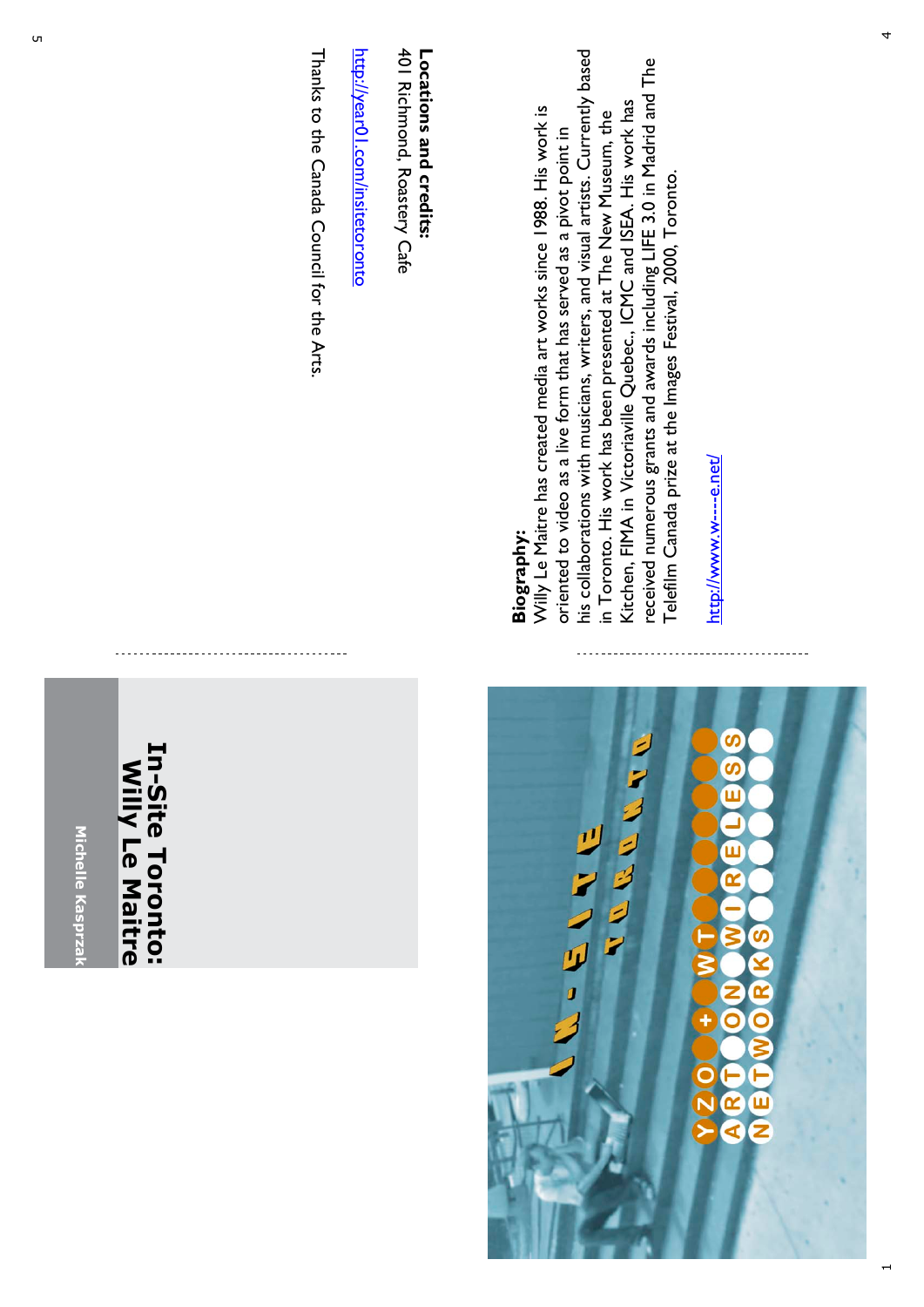

Thanks to the Canada Council for the Arts Thanks to the Canada Council for the Arts.

401 Richmond, Roastery Cafe 401 Richmond, Roastery Cafe Locations and credits: **Locations and credits:**

his collaborations with musicians, writers, and visual artists. Currently based his collaborations with musicians, writers, and visual artists. Currently based received numerous grants and awards including LIFE 3.0 in Madrid and The received numerous grants and awards including LIFE 3.0 in Madrid and The Kitchen, FIMA in Victoriaville Quebec., ICMC and ISEA. His work has Kitchen, FIMA in Victoriaville Quebec., ICMC and ISEA. His work has Willy Le Maitre has created media art works since 1988. His work is Willy Le Maitre has created media art works since 1988. His work is in Toronto. His work has been presented at The New Museum, the in Toronto. His work has been presented at The New Museum, the oriented to video as a live form that has served as a pivot point in oriented to video as a live form that has served as a pivot point in .

**Michelle Kasprzak**

Michelle Kasprza

**In-Site Toronto: Willy Le Maitre**

In-Site Toronto:

Willy Le Maitre

 $\overline{ }$